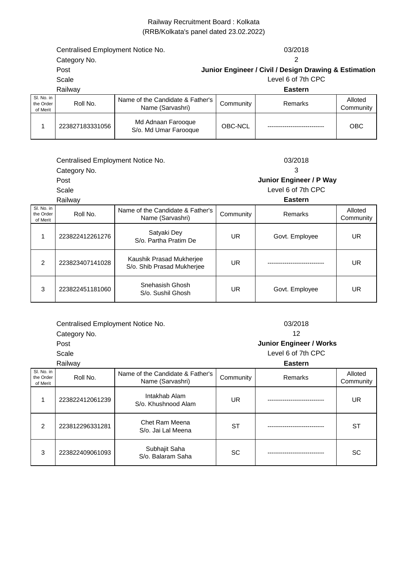## Railway Recruitment Board : Kolkata (RRB/Kolkata's panel dated 23.02.2022)

|                                     | Centralised Employment Notice No. |                                                      |           | 03/2018                                               |                      |
|-------------------------------------|-----------------------------------|------------------------------------------------------|-----------|-------------------------------------------------------|----------------------|
|                                     | Category No.                      |                                                      |           | 2                                                     |                      |
|                                     | Post                              |                                                      |           | Junior Engineer / Civil / Design Drawing & Estimation |                      |
|                                     | Scale                             |                                                      |           | Level 6 of 7th CPC                                    |                      |
|                                     | Railway                           |                                                      |           | <b>Eastern</b>                                        |                      |
| SI. No. in<br>the Order<br>of Merit | Roll No.                          | Name of the Candidate & Father's<br>Name (Sarvashri) | Community | Remarks                                               | Alloted<br>Community |
| 1                                   | 223827183331056                   | Md Adnaan Farooque<br>S/o. Md Umar Farooque          | OBC-NCL   |                                                       | OBC                  |
|                                     | Centralised Employment Notice No. |                                                      |           | 03/2018<br>3                                          |                      |
|                                     | Category No.                      |                                                      |           |                                                       |                      |
|                                     | Post                              |                                                      |           | Junior Engineer / P Way                               |                      |
|                                     | Scale                             |                                                      |           | Level 6 of 7th CPC                                    |                      |
|                                     | Railway                           |                                                      |           | <b>Eastern</b>                                        |                      |
| SI. No. in<br>the Order<br>of Merit | Roll No.                          | Name of the Candidate & Father's<br>Name (Sarvashri) | Community | Remarks                                               | Alloted<br>Community |
| 1                                   | 223822412261276                   | Satyaki Dey<br>S/o. Partha Pratim De                 | <b>UR</b> | Govt. Employee                                        | UR                   |

| SI, No. in<br>the Order<br>of Merit | Roll No.        | Name of the Candidate & Father's<br>Name (Sarvashri)   | Community | Remarks        | Alloted<br>Community |
|-------------------------------------|-----------------|--------------------------------------------------------|-----------|----------------|----------------------|
|                                     | 223822412261276 | Satyaki Dey<br>S/o. Partha Pratim De                   | UR        | Govt. Employee | UR                   |
| $\mathcal{P}$                       | 223823407141028 | Kaushik Prasad Mukherjee<br>S/o. Shib Prasad Mukherjee | UR        |                | UR                   |
| 3                                   | 223822451181060 | Snehasish Ghosh<br>S/o. Sushil Ghosh                   | UR        | Govt. Employee | UR                   |

| Centralised Employment Notice No. | 03/2018         |
|-----------------------------------|-----------------|
| Category No.                      |                 |
| Post                              | Junior Engineer |
|                                   | .               |

Scale Railway

|                                     | Railway         |                                                      |           | <b>Eastern</b> |                      |
|-------------------------------------|-----------------|------------------------------------------------------|-----------|----------------|----------------------|
| SI. No. in<br>the Order<br>of Merit | Roll No.        | Name of the Candidate & Father's<br>Name (Sarvashri) | Community | Remarks        | Alloted<br>Community |
|                                     | 223822412061239 | Intakhab Alam<br>S/o. Khushnood Alam                 | UR        |                | <b>UR</b>            |
| $\mathcal{P}$                       | 223812296331281 | Chet Ram Meena<br>S/o. Jai Lal Meena                 | <b>ST</b> |                | ST                   |
| 3                                   | 223822409061093 | Subhajit Saha<br>S/o. Balaram Saha                   | SC        |                | SC                   |

Level 6 of 7th CPC

12  **Junior Engineer / Works**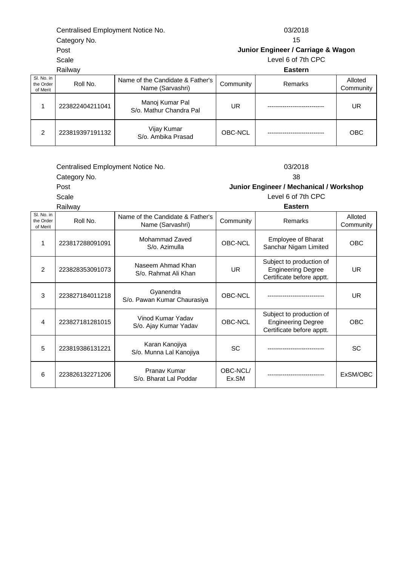Centralised Employment Notice No. 03/2018

Category No.

Post

Scale

Railway

15 **Junior Engineer / Carriage & Wagon**

Level 6 of 7th CPC

| Railway                             |                 |                                                      | <b>Eastern</b> |         |                      |  |
|-------------------------------------|-----------------|------------------------------------------------------|----------------|---------|----------------------|--|
| SI. No. in<br>the Order<br>of Merit | Roll No.        | Name of the Candidate & Father's<br>Name (Sarvashri) | Community      | Remarks | Alloted<br>Community |  |
|                                     | 223822404211041 | Manoj Kumar Pal<br>S/o. Mathur Chandra Pal           | UR             |         | UR                   |  |
| 2                                   | 223819397191132 | Vijay Kumar<br>S/o. Ambika Prasad                    | OBC-NCL        |         | <b>OBC</b>           |  |

Centralised Employment Notice No. 03/2018

Category No.

Post

Scale

38 **Junior Engineer / Mechanical / Workshop**

| Railway |
|---------|
|---------|

| Level 6 of 7th CPC |  |  |  |  |
|--------------------|--|--|--|--|
| Eastern            |  |  |  |  |

| SI. No. in<br>the Order<br>of Merit | Roll No.        | Name of the Candidate & Father's<br>Name (Sarvashri) | Community         | Remarks                                                                            | Alloted<br>Community |
|-------------------------------------|-----------------|------------------------------------------------------|-------------------|------------------------------------------------------------------------------------|----------------------|
|                                     | 223817288091091 | Mohammad Zaved<br>S/o. Azimulla                      | OBC-NCL           | Employee of Bharat<br>Sanchar Nigam Limited                                        | <b>OBC</b>           |
| $\mathcal{P}$                       | 223828353091073 | Naseem Ahmad Khan<br>S/o. Rahmat Ali Khan            | UR.               | Subject to production of<br><b>Engineering Degree</b><br>Certificate before apptt. | <b>UR</b>            |
| 3                                   | 223827184011218 | Gyanendra<br>S/o. Pawan Kumar Chaurasiya             | OBC-NCL           |                                                                                    | <b>UR</b>            |
| 4                                   | 223827181281015 | Vinod Kumar Yadav<br>S/o. Ajay Kumar Yadav           | OBC-NCL           | Subject to production of<br><b>Engineering Degree</b><br>Certificate before apptt. | <b>OBC</b>           |
| 5                                   | 223819386131221 | Karan Kanojiya<br>S/o. Munna Lal Kanojiya            | SC                |                                                                                    | <b>SC</b>            |
| 6                                   | 223826132271206 | Pranav Kumar<br>S/o. Bharat Lal Poddar               | OBC-NCL/<br>Ex.SM |                                                                                    | ExSM/OBC             |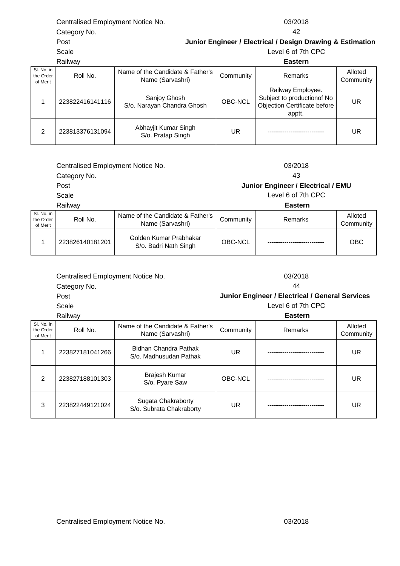| Centralised Employment Notice No. | 03/2018 |
|-----------------------------------|---------|
|                                   |         |

|                                     | Railway         |                                                      | <b>Eastern</b> |                                                                                            |                      |
|-------------------------------------|-----------------|------------------------------------------------------|----------------|--------------------------------------------------------------------------------------------|----------------------|
| SI. No. in<br>the Order<br>of Merit | Roll No.        | Name of the Candidate & Father's<br>Name (Sarvashri) | Community      | Remarks                                                                                    | Alloted<br>Community |
|                                     | 223822416141116 | Sanjoy Ghosh<br>S/o. Narayan Chandra Ghosh           | OBC-NCL        | Railway Employee.<br>Subject to production of No<br>Objection Certificate before<br>apptt. | UR                   |
| 2                                   | 223813376131094 | Abhayjit Kumar Singh<br>S/o. Pratap Singh            | UR             |                                                                                            | UR                   |

Centralised Employment Notice No. 03/2018

Category No.

Post

Post Scale

Scale

Railway

|                                     | Rallway         |                                                      |           | <b>Eastern</b> |                      |
|-------------------------------------|-----------------|------------------------------------------------------|-----------|----------------|----------------------|
| SI. No. in<br>the Order<br>of Merit | Roll No.        | Name of the Candidate & Father's<br>Name (Sarvashri) | Community | Remarks        | Alloted<br>Community |
|                                     | 223826140181201 | Golden Kumar Prabhakar<br>S/o. Badri Nath Singh      | OBC-NCL   |                | <b>OBC</b>           |

|                                     | Centralised Employment Notice No. |                                                      |           | 03/2018                                         |                     |
|-------------------------------------|-----------------------------------|------------------------------------------------------|-----------|-------------------------------------------------|---------------------|
|                                     | Category No.                      |                                                      | 44        |                                                 |                     |
|                                     | Post                              |                                                      |           | Junior Engineer / Electrical / General Services |                     |
|                                     | Scale                             |                                                      |           | Level 6 of 7th CPC                              |                     |
|                                     | Railway                           |                                                      |           | <b>Eastern</b>                                  |                     |
| SI. No. in<br>the Order<br>of Merit | Roll No.                          | Name of the Candidate & Father's<br>Name (Sarvashri) | Community | Remarks                                         | Alloted<br>Communit |

| the Order<br>of Merit | Roll No.        | Name (Sarvashri)                                | Community | Remarks | Community |
|-----------------------|-----------------|-------------------------------------------------|-----------|---------|-----------|
|                       | 223827181041266 | Bidhan Chandra Pathak<br>S/o. Madhusudan Pathak | UR        |         | UR        |
| $\mathcal{P}$         | 223827188101303 | Brajesh Kumar<br>S/o. Pyare Saw                 | OBC-NCL   |         | UR        |
| 3                     | 223822449121024 | Sugata Chakraborty<br>S/o. Subrata Chakraborty  | UR        |         | UR        |

**Junior Engineer / Electrical / Design Drawing & Estimation** Level 6 of 7th CPC

43

**Junior Engineer / Electrical / EMU**

1

 **Eastern** Level 6 of 7th CPC

Category No. Centralised Employment Notice No. 03/2018

42